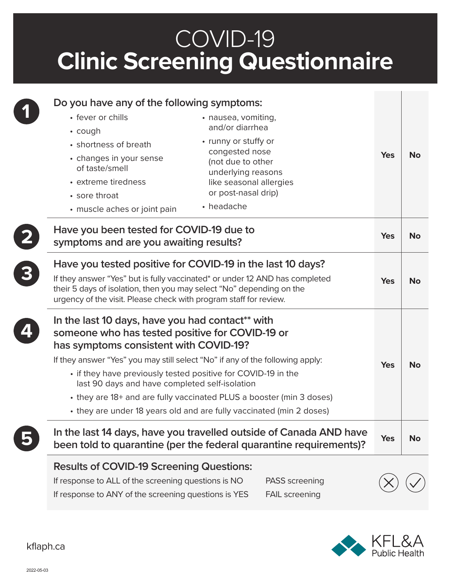## COVID-19 **Clinic Screening Questionnaire**

| Do you have any of the following symptoms:<br>• fever or chills<br>• nausea, vomiting,<br>and/or diarrhea<br>$\cdot$ cough<br>• runny or stuffy or<br>• shortness of breath<br>congested nose<br>• changes in your sense<br>(not due to other<br>of taste/smell<br>underlying reasons<br>• extreme tiredness<br>like seasonal allergies<br>or post-nasal drip)<br>• sore throat<br>• headache<br>• muscle aches or joint pain                                                                     | <b>Yes</b> | No        |
|---------------------------------------------------------------------------------------------------------------------------------------------------------------------------------------------------------------------------------------------------------------------------------------------------------------------------------------------------------------------------------------------------------------------------------------------------------------------------------------------------|------------|-----------|
| Have you been tested for COVID-19 due to<br>symptoms and are you awaiting results?                                                                                                                                                                                                                                                                                                                                                                                                                | <b>Yes</b> | <b>No</b> |
| Have you tested positive for COVID-19 in the last 10 days?<br>If they answer "Yes" but is fully vaccinated* or under 12 AND has completed<br>their 5 days of isolation, then you may select "No" depending on the<br>urgency of the visit. Please check with program staff for review.                                                                                                                                                                                                            | <b>Yes</b> | <b>No</b> |
| In the last 10 days, have you had contact** with<br>someone who has tested positive for COVID-19 or<br>has symptoms consistent with COVID-19?<br>If they answer "Yes" you may still select "No" if any of the following apply:<br>• if they have previously tested positive for COVID-19 in the<br>last 90 days and have completed self-isolation<br>• they are 18+ and are fully vaccinated PLUS a booster (min 3 doses)<br>• they are under 18 years old and are fully vaccinated (min 2 doses) | <b>Yes</b> | <b>No</b> |
| In the last 14 days, have you travelled outside of Canada AND have<br>been told to quarantine (per the federal quarantine requirements)?                                                                                                                                                                                                                                                                                                                                                          | <b>Yes</b> | <b>No</b> |
| <b>Results of COVID-19 Screening Questions:</b><br>If response to ALL of the screening questions is NO<br><b>PASS</b> screening<br>If response to ANY of the screening questions is YES<br><b>FAIL screening</b>                                                                                                                                                                                                                                                                                  |            |           |